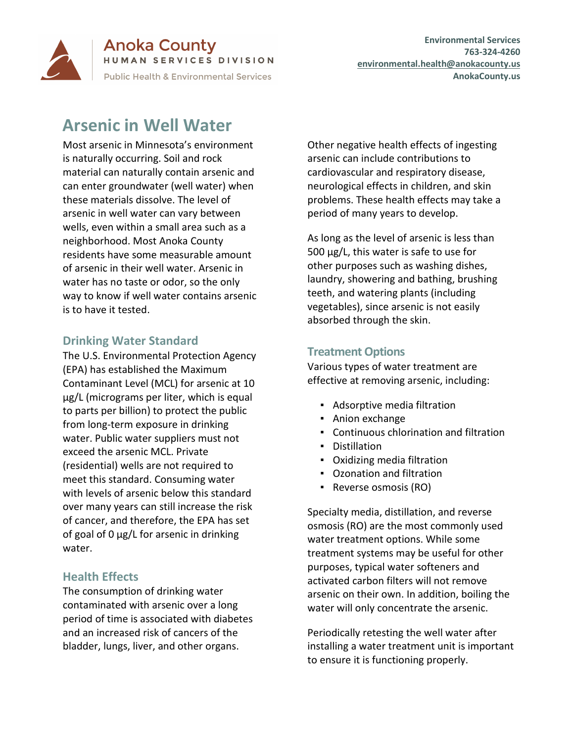

**Anoka County** HUMAN SERVICES DIVISION **Public Health & Environmental Services** 

# **Arsenic in Well Water**

Most arsenic in Minnesota's environment is naturally occurring. Soil and rock material can naturally contain arsenic and can enter groundwater (well water) when these materials dissolve. The level of arsenic in well water can vary between wells, even within a small area such as a neighborhood. Most Anoka County residents have some measurable amount of arsenic in their well water. Arsenic in water has no taste or odor, so the only way to know if well water contains arsenic is to have it tested.

## **Drinking Water Standard**

The U.S. Environmental Protection Agency (EPA) has established the Maximum Contaminant Level (MCL) for arsenic at 10 µg/L (micrograms per liter, which is equal to parts per billion) to protect the public from long-term exposure in drinking water. Public water suppliers must not exceed the arsenic MCL. Private (residential) wells are not required to meet this standard. Consuming water with levels of arsenic below this standard over many years can still increase the risk of cancer, and therefore, the EPA has set of goal of 0 µg/L for arsenic in drinking water.

## **Health Effects**

The consumption of drinking water contaminated with arsenic over a long period of time is associated with diabetes and an increased risk of cancers of the bladder, lungs, liver, and other organs.

Other negative health effects of ingesting arsenic can include contributions to cardiovascular and respiratory disease, neurological effects in children, and skin problems. These health effects may take a period of many years to develop.

As long as the level of arsenic is less than 500 µg/L, this water is safe to use for other purposes such as washing dishes, laundry, showering and bathing, brushing teeth, and watering plants (including vegetables), since arsenic is not easily absorbed through the skin.

# **Treatment Options**

Various types of water treatment are effective at removing arsenic, including:

- Adsorptive media filtration
- Anion exchange
- Continuous chlorination and filtration
- Distillation
- Oxidizing media filtration
- Ozonation and filtration
- Reverse osmosis (RO)

Specialty media, distillation, and reverse osmosis (RO) are the most commonly used water treatment options. While some treatment systems may be useful for other purposes, typical water softeners and activated carbon filters will not remove arsenic on their own. In addition, boiling the water will only concentrate the arsenic.

Periodically retesting the well water after installing a water treatment unit is important to ensure it is functioning properly.